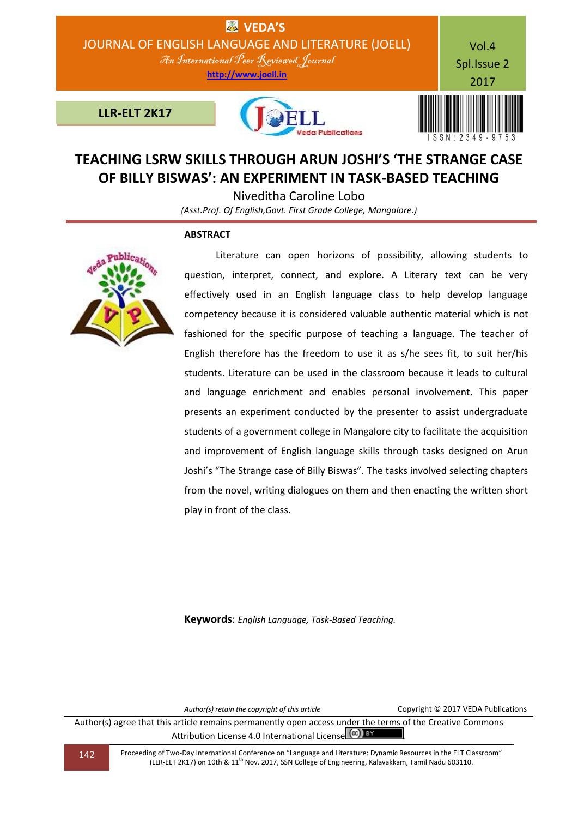

# **TEACHING LSRW SKILLS THROUGH ARUN JOSHI'S 'THE STRANGE CASE OF BILLY BISWAS': AN EXPERIMENT IN TASK-BASED TEACHING**

Niveditha Caroline Lobo

*(Asst.Prof. Of English,Govt. First Grade College, Mangalore.)*

## **ABSTRACT**



 Literature can open horizons of possibility, allowing students to question, interpret, connect, and explore. A Literary text can be very effectively used in an English language class to help develop language competency because it is considered valuable authentic material which is not fashioned for the specific purpose of teaching a language. The teacher of English therefore has the freedom to use it as s/he sees fit, to suit her/his students. Literature can be used in the classroom because it leads to cultural and language enrichment and enables personal involvement. This paper presents an experiment conducted by the presenter to assist undergraduate students of a government college in Mangalore city to facilitate the acquisition and improvement of English language skills through tasks designed on Arun Joshi's "The Strange case of Billy Biswas". The tasks involved selecting chapters from the novel, writing dialogues on them and then enacting the written short play in front of the class.

**Keywords**: *English Language, Task-Based Teaching.*

*Author(s) retain the copyright of this article* Copyright © 2017 VEDA Publications

Author(s) agree that this article remains permanently open access under the terms of the Creative Commons Attribution License 4.0 International License (cc) BY

142 Proceeding of Two-Day International Conference on "Language and Literature: Dynamic Resources in the ELT Classroom" (LLR-ELT 2K17) on 10th & 11th Nov. 2017, SSN College of Engineering, Kalavakkam, Tamil Nadu 603110.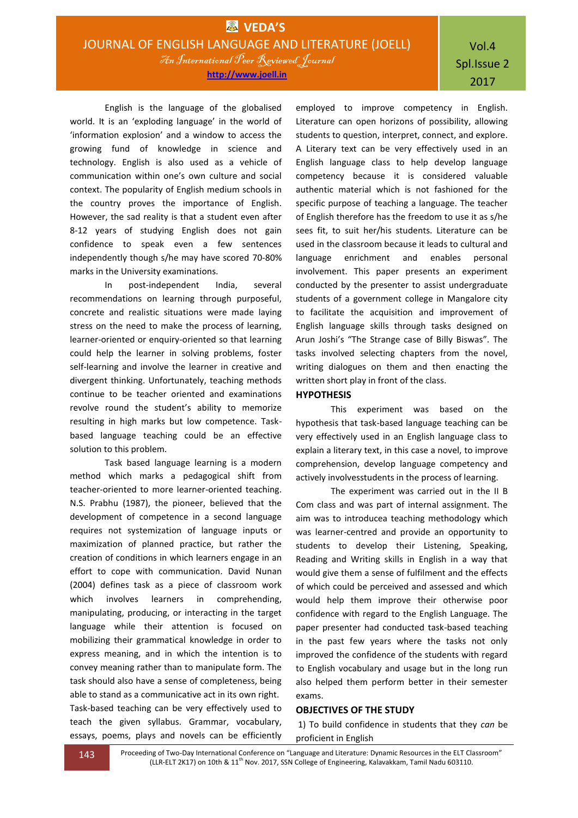English is the language of the globalised world. It is an 'exploding language' in the world of 'information explosion' and a window to access the growing fund of knowledge in science and technology. English is also used as a vehicle of communication within one's own culture and social context. The popularity of English medium schools in the country proves the importance of English. However, the sad reality is that a student even after 8-12 years of studying English does not gain confidence to speak even a few sentences independently though s/he may have scored 70-80% marks in the University examinations.

In post-independent India, several recommendations on learning through purposeful, concrete and realistic situations were made laying stress on the need to make the process of learning, learner-oriented or enquiry-oriented so that learning could help the learner in solving problems, foster self-learning and involve the learner in creative and divergent thinking. Unfortunately, teaching methods continue to be teacher oriented and examinations revolve round the student's ability to memorize resulting in high marks but low competence. Taskbased language teaching could be an effective solution to this problem.

Task based language learning is a modern method which marks a pedagogical shift from teacher-oriented to more learner-oriented teaching. N.S. Prabhu (1987), the pioneer, believed that the development of competence in a second language requires not systemization of language inputs or maximization of planned practice, but rather the creation of conditions in which learners engage in an effort to cope with communication. David Nunan (2004) defines task as a piece of classroom work which involves learners in comprehending, manipulating, producing, or interacting in the target language while their attention is focused on mobilizing their grammatical knowledge in order to express meaning, and in which the intention is to convey meaning rather than to manipulate form. The task should also have a sense of completeness, being able to stand as a communicative act in its own right. Task-based teaching can be very effectively used to teach the given syllabus. Grammar, vocabulary, essays, poems, plays and novels can be efficiently

employed to improve competency in English. Literature can open horizons of possibility, allowing students to question, interpret, connect, and explore. A Literary text can be very effectively used in an English language class to help develop language competency because it is considered valuable authentic material which is not fashioned for the specific purpose of teaching a language. The teacher of English therefore has the freedom to use it as s/he sees fit, to suit her/his students. Literature can be used in the classroom because it leads to cultural and language enrichment and enables personal involvement. This paper presents an experiment conducted by the presenter to assist undergraduate students of a government college in Mangalore city to facilitate the acquisition and improvement of English language skills through tasks designed on Arun Joshi's "The Strange case of Billy Biswas". The tasks involved selecting chapters from the novel, writing dialogues on them and then enacting the written short play in front of the class.

## **HYPOTHESIS**

This experiment was based on the hypothesis that task-based language teaching can be very effectively used in an English language class to explain a literary text, in this case a novel, to improve comprehension, develop language competency and actively involvesstudents in the process of learning.

The experiment was carried out in the II B Com class and was part of internal assignment. The aim was to introducea teaching methodology which was learner-centred and provide an opportunity to students to develop their Listening, Speaking, Reading and Writing skills in English in a way that would give them a sense of fulfilment and the effects of which could be perceived and assessed and which would help them improve their otherwise poor confidence with regard to the English Language. The paper presenter had conducted task-based teaching in the past few years where the tasks not only improved the confidence of the students with regard to English vocabulary and usage but in the long run also helped them perform better in their semester exams.

## **OBJECTIVES OF THE STUDY**

1) To build confidence in students that they *can* be proficient in English

143 Proceeding of Two-Day International Conference on "Language and Literature: Dynamic Resources in the ELT Classroom" (LLR-ELT 2K17) on 10th & 11<sup>th</sup> Nov. 2017, SSN College of Engineering, Kalavakkam, Tamil Nadu 603110.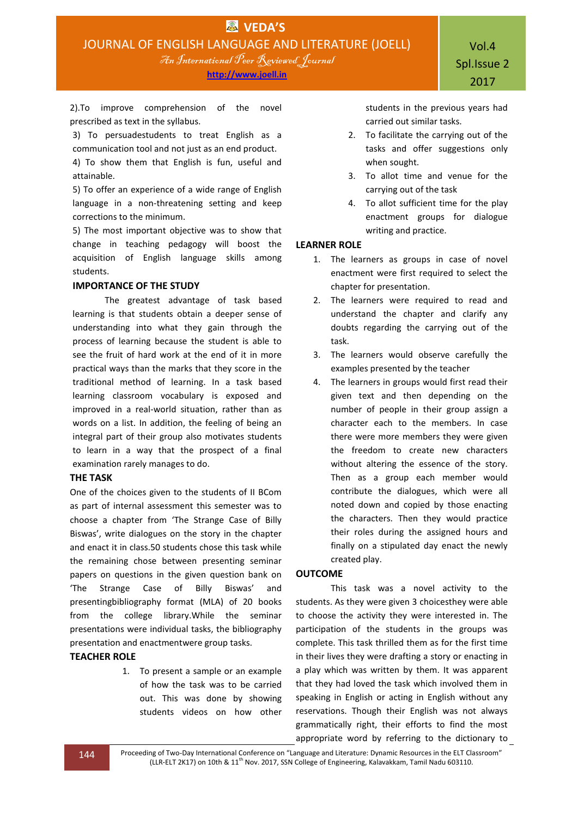**http://www.joell.in**

2).To improve comprehension of the novel prescribed as text in the syllabus.

3) To persuadestudents to treat English as a communication tool and not just as an end product. 4) To show them that English is fun, useful and attainable.

5) To offer an experience of a wide range of English language in a non-threatening setting and keep corrections to the minimum.

5) The most important objective was to show that change in teaching pedagogy will boost the acquisition of English language skills among students.

## **IMPORTANCE OF THE STUDY**

The greatest advantage of task based learning is that students obtain a deeper sense of understanding into what they gain through the process of learning because the student is able to see the fruit of hard work at the end of it in more practical ways than the marks that they score in the traditional method of learning. In a task based learning classroom vocabulary is exposed and improved in a real-world situation, rather than as words on a list. In addition, the feeling of being an integral part of their group also motivates students to learn in a way that the prospect of a final examination rarely manages to do.

## **THE TASK**

One of the choices given to the students of II BCom as part of internal assessment this semester was to choose a chapter from 'The Strange Case of Billy Biswas', write dialogues on the story in the chapter and enact it in class.50 students chose this task while the remaining chose between presenting seminar papers on questions in the given question bank on 'The Strange Case of Billy Biswas' and presentingbibliography format (MLA) of 20 books from the college library.While the seminar presentations were individual tasks, the bibliography presentation and enactmentwere group tasks.

## **TEACHER ROLE**

1. To present a sample or an example of how the task was to be carried out. This was done by showing students videos on how other

students in the previous years had carried out similar tasks.

- 2. To facilitate the carrying out of the tasks and offer suggestions only when sought.
- 3. To allot time and venue for the carrying out of the task
- 4. To allot sufficient time for the play enactment groups for dialogue writing and practice.

## **LEARNER ROLE**

- 1. The learners as groups in case of novel enactment were first required to select the chapter for presentation.
- 2. The learners were required to read and understand the chapter and clarify any doubts regarding the carrying out of the task.
- 3. The learners would observe carefully the examples presented by the teacher
- 4. The learners in groups would first read their given text and then depending on the number of people in their group assign a character each to the members. In case there were more members they were given the freedom to create new characters without altering the essence of the story. Then as a group each member would contribute the dialogues, which were all noted down and copied by those enacting the characters. Then they would practice their roles during the assigned hours and finally on a stipulated day enact the newly created play.

## **OUTCOME**

This task was a novel activity to the students. As they were given 3 choicesthey were able to choose the activity they were interested in. The participation of the students in the groups was complete. This task thrilled them as for the first time in their lives they were drafting a story or enacting in a play which was written by them. It was apparent that they had loved the task which involved them in speaking in English or acting in English without any reservations. Though their English was not always grammatically right, their efforts to find the most appropriate word by referring to the dictionary to

144 Proceeding of Two-Day International Conference on "Language and Literature: Dynamic Resources in the ELT Classroom" (LLR-ELT 2K17) on 10th & 11<sup>th</sup> Nov. 2017, SSN College of Engineering, Kalavakkam, Tamil Nadu 603110.